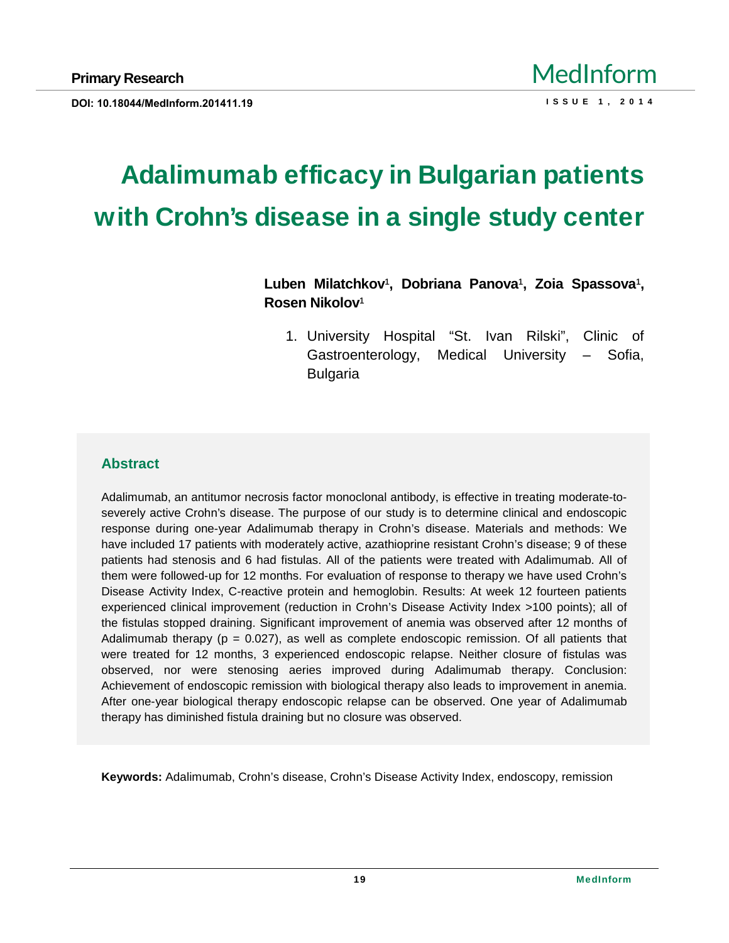# Adalimumab efficacy in Bulgarian patien ts with Crohn€s disease in a single study center

Luben Milatchkov € Dobriana Panova € Zoia Spassova € Rosen Nikolov €

1. University Hospital •St. Ivan Rilski,, Clinic of Gastroenterology, Medical University f Sofia, Bulgaria

# Abstract

Adalimumab, an antitumor necrosis factor monoclonal antibody, is effective in treating moderate-to severely active Crohn's disease. The purpose of our study is to determine clinical and endoscopic response during one-year Adalimumab therapy in Crohn"s disease. Materials and methods: We have included 17 patients with moderately active, azathioprine resistant Crohn"s disease; 9 of these patients had stenosis and 6 had fistulas. All of the patients were treated with Adalimumab. All of them were followed-up for 12 months. For evaluation of response to therapy we have used Crohn,,s Disease Activity Index, C-reactive protein and hemoglobin. Results: At week 12 fourteen patients experienced clinical improvement (reduction in Crohn, s Disease Activity Index >100 points); all of the fistulas stopped draining. Significant improvement of anemia was observed after 12 months of Adalimumab therapy ( $p = 0.027$ ), as well as complete endoscopic remission. Of all patients that were treated for 12 months, 3 experienced endoscopic relapse. Neither closure of fistulas was observed, nor were stenosing aeries improved during Adalimumab therapy. Conclusion: Achievement of endoscopic remission with biological therapy also leads to improvement in anemia. After one-year biological therapy endoscopic relapse can be observed. One year of Adalimumab therapy has diminished fistula draining but no closure was observed.

Keywords: Adalimumab, Crohn"s disease, Crohn"s Disease Activity Index, endoscopy, remission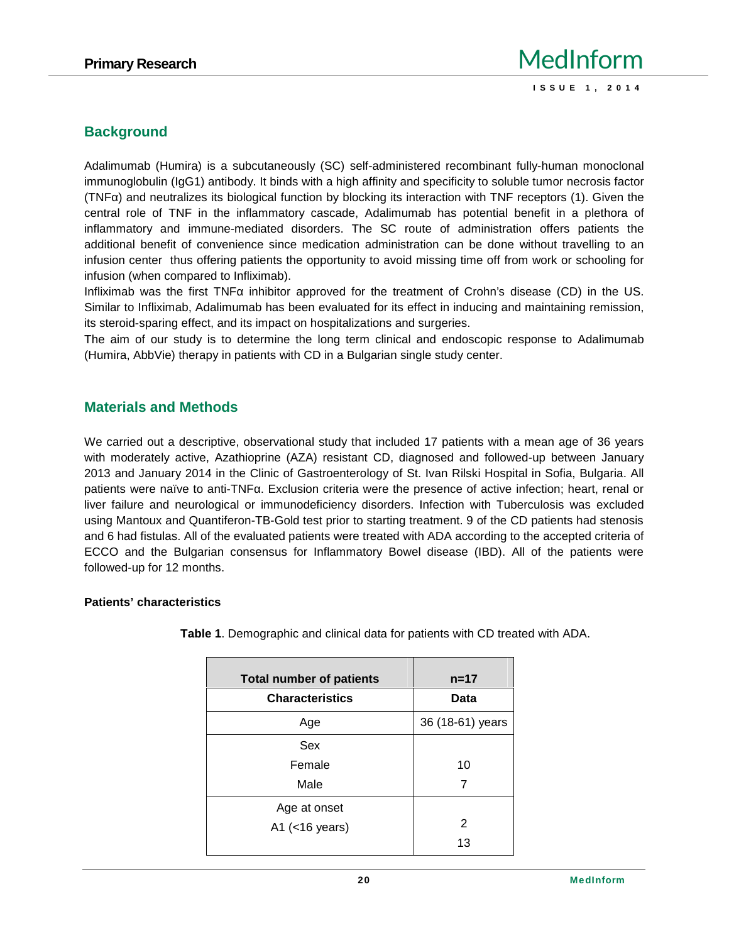# **Background**

Adalimumab (Humira) is a subcutaneously (SC) self-administered recombinant fully-human monoclonal immunoglobulin (IgG1) antibody. It binds with a high affinity and specificity to soluble tumor necrosis factor (TNF) and neutralizes its biological function by blocking its interaction with TNF receptors (1). Given the central role of TNF in the inflammatory cascade, Adalimumab has potential benefit in a plethora of inflammatory and immune-mediated disorders. The SC route of administration offers patients the additional benefit of convenience since medication administration can be done without travelling to an infusion center thus offering patients the opportunity to avoid missing time off from work orschooling for infusion (when compared to Infliximab).

Infliximab was the first TNF inhibitor approved for the treatment of Crohn's disease (CD) in the US. Similar to Infliximab, Adalimumab has been evaluated for its effect in inducing and maintaining remission, its steroid-sparing effect, and its impact on hospitalizations and surgeries.

The aim of our study is to determine the long term clinical and endoscopic response to Adalimumab (Humira, AbbVie) therapy in patients with CD in a Bulgarian single study center.

## **Materials and Methods**

We carried out a descriptive, observational study that included 17 patients with a mean age of 36 years with moderately active, Azathioprine (AZA) resistant CD, diagnosed and followed-up between January 2013 and January 2014 in the Clinic of Gastroenterology of St. Ivan Rilski Hospital in Sofia, Bulgaria. All patients were naïve to anti-TNF . Exclusion criteria were the presence of active infection; heart, renal or liver failure and neurological or immunodeficiency disorders. Infection with Tuberculosis was excluded using Mantoux and Quantiferon-TB-Gold test prior to starting treatment. 9 of the CD patients had stenosis and 6 had fistulas. All of the evaluated patients were treated with ADA according to the accepted criteria of ECCO and the Bulgarian consensus for Inflammatory Bowel disease (IBD). All of the patients were followed-up for 12 months.

#### **Patients' characteristics**

| <b>Total number of patients</b> | $n = 17$         |
|---------------------------------|------------------|
| <b>Characteristics</b>          | Data             |
| Age                             | 36 (18-61) years |
| Sex                             |                  |
| Female                          | 10               |
| Male                            | 7                |
| Age at onset                    |                  |
| A1 $(<$ 16 years)               | 2                |
|                                 | 13               |

**Table 1**. Demographic and clinical data for patients with CD treated with ADA.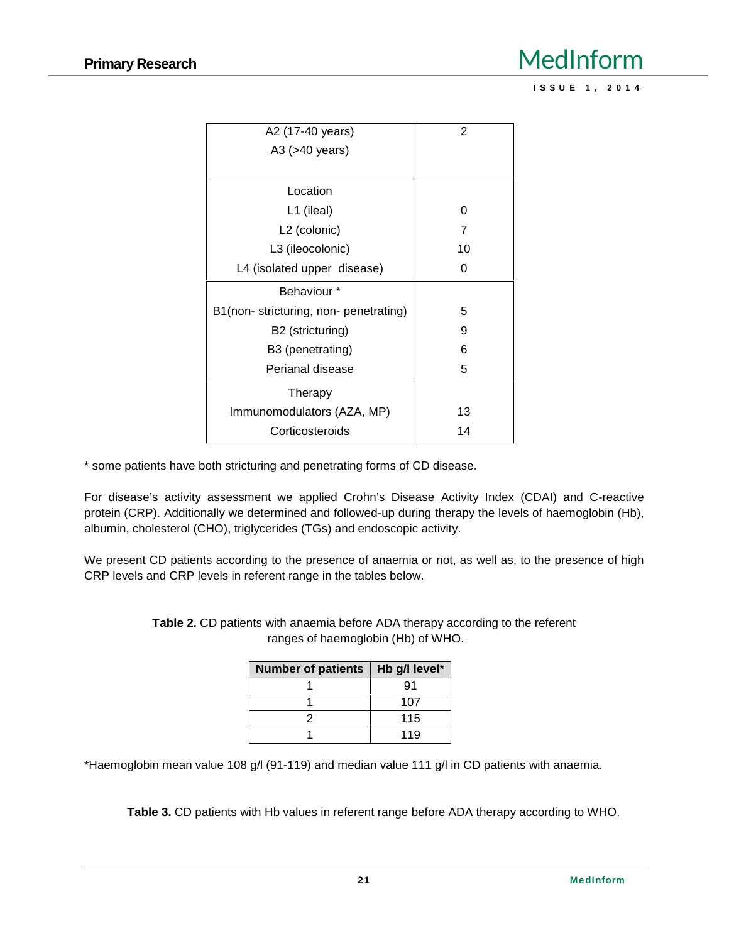# **Primary Research** MedInform **I** <u>BedInform</u><br>Issue 1, 2014

| A2 (17-40 years)                     | 2  |
|--------------------------------------|----|
| A3 (>40 years)                       |    |
|                                      |    |
| Location                             |    |
| L1 (ileal)                           | O  |
| L <sub>2</sub> (colonic)             | 7  |
| L3 (ileocolonic)                     | 10 |
| L4 (isolated upper disease)          | O  |
| Behaviour *                          |    |
| B1(non-stricturing, non-penetrating) | 5  |
| B2 (stricturing)                     | 9  |
| B3 (penetrating)                     | 6  |
| Perianal disease                     | 5  |
| Therapy                              |    |
| Immunomodulators (AZA, MP)           | 13 |
| Corticosteroids                      | 14 |

\* some patients have both stricturing and penetrating forms of CD disease.

For disease's activity assessment we applied Crohn's Disease Activity Index (CDAI) and C-reactive protein (CRP). Additionally we determined and followed-up during therapy the levels of haemoglobin (Hb), albumin, cholesterol (CHO), triglycerides (TGs) and endoscopic activity.

We present CD patients according to the presence of anaemia or not, as well as, to the presence of high CRP levels and CRP levels in referent range in the tables below.

| Number of patients   Hb g/l level* |     |
|------------------------------------|-----|
|                                    | 91  |
|                                    | 107 |
|                                    | 115 |
|                                    | 119 |

**Table 2.** CD patients with anaemia before ADA therapy according to the referent ranges of haemoglobin (Hb) of WHO.

\*Haemoglobin mean value 108 g/l (91-119) and median value 111 g/l in CD patients with anaemia.

**Table 3.** CD patients with Hb values in referent range before ADA therapy according to WHO.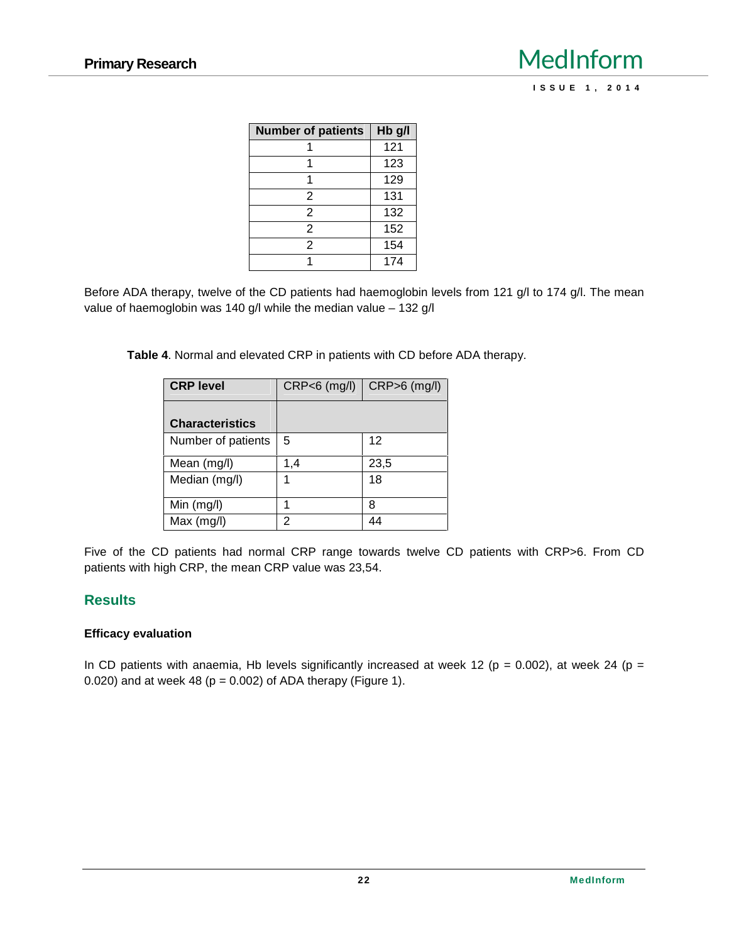| <b>Number of patients</b> | Hb g/l |
|---------------------------|--------|
|                           | 121    |
|                           | 123    |
|                           | 129    |
| 2                         | 131    |
| 2                         | 132    |
| 2                         | 152    |
| 2                         | 154    |
|                           | 174    |

Before ADA therapy, twelve of the CD patients had haemoglobin levels from 121 g/l to 174 g/l. The mean value of haemoglobin was 140 g/l while the median value – 132 g/l

**Table 4**. Normal and elevated CRP in patients with CD before ADA therapy.

| <b>CRP level</b>       | $CRP<6$ (mg/l) | $CRP > 6$ (mg/l) |  |
|------------------------|----------------|------------------|--|
|                        |                |                  |  |
| <b>Characteristics</b> |                |                  |  |
| Number of patients     | 5              | 12               |  |
| Mean (mg/l)            | 1.4            | 23,5             |  |
| Median (mg/l)          |                | 18               |  |
| Min (mg/l)             |                | 8                |  |
| Max $(mg/l)$           | 2              |                  |  |

Five of the CD patients had normal CRP range towards twelve CD patients with CRP>6. From CD patients with high CRP, the mean CRP value was 23,54.

### **Results**

#### **Efficacy evaluation**

In CD patients with anaemia, Hb levels significantly increased at week 12 ( $p = 0.002$ ), at week 24 ( $p =$ 0.020) and at week 48 ( $p = 0.002$ ) of ADA therapy (Figure 1).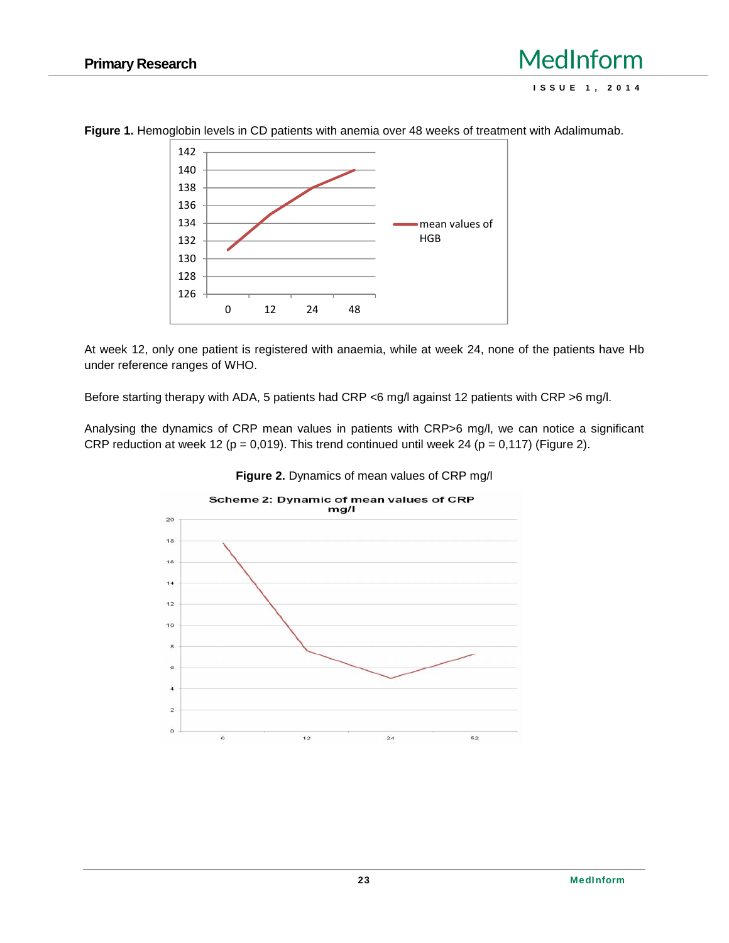

**Figure 1.** Hemoglobin levels in CD patients with anemia over 48 weeks of treatment with Adalimumab.

At week 12, only one patient is registered with anaemia, while at week 24, none of the patients have Hb under reference ranges of WHO.

Before starting therapy with ADA, 5 patients had CRP <6 mg/l against 12 patients with CRP >6 mg/l.

Analysing the dynamics of CRP mean values in patients with CRP>6 mg/l, we can notice a significant CRP reduction at week 12 ( $p = 0.019$ ). This trend continued until week 24 ( $p = 0.117$ ) (Figure 2).



**Figure 2.** Dynamics of mean values of CRP mg/l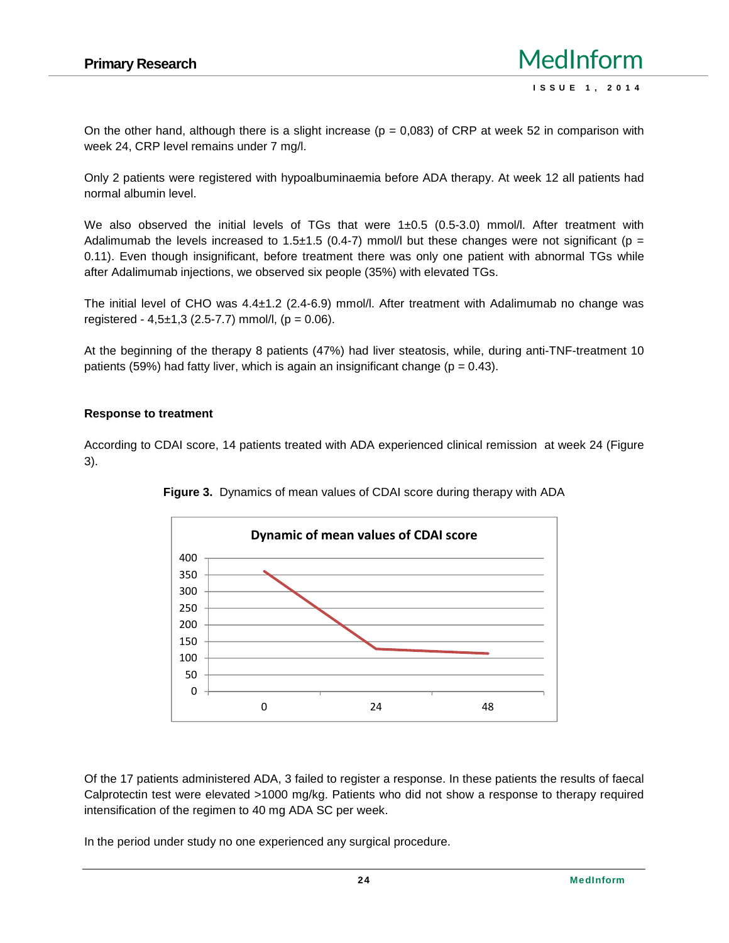On the other hand, although there is a slight increase ( $p = 0,083$ ) of CRP at week 52 in comparison with week 24, CRP level remains under 7 mg/l.

Only 2 patients were registered with hypoalbuminaemia before ADA therapy. At week 12 all patients had normal albumin level.

We also observed the initial levels of TGs that were  $1\pm 0.5$  (0.5-3.0) mmol/l. After treatment with Adalimumab the levels increased to 1.5±1.5 (0.4-7) mmol/l but these changes were not significant ( $p =$ 0.11). Even though insignificant, before treatment there was only one patient with abnormal TGs while after Adalimumab injections, we observed six people (35%) with elevated TGs.

The initial level of CHO was 4.4±1.2 (2.4-6.9) mmol/l. After treatment with Adalimumab no change was registered -  $4,5\pm1,3$  (2.5-7.7) mmol/l, (p = 0.06).

At the beginning of the therapy 8 patients (47%) had liver steatosis, while, during anti-TNF-treatment 10 patients (59%) had fatty liver, which is again an insignificant change ( $p = 0.43$ ).

#### **Response to treatment**

According to CDAI score, 14 patients treated with ADA experienced clinical remission at week 24 (Figure 3).





Of the 17 patients administered ADA, 3 failed to register a response. In these patients the results of faecal Calprotectin test were elevated >1000 mg/kg. Patients who did not show a response to therapy required intensification of the regimen to 40 mg ADA SC per week.

In the period under study no one experienced any surgical procedure.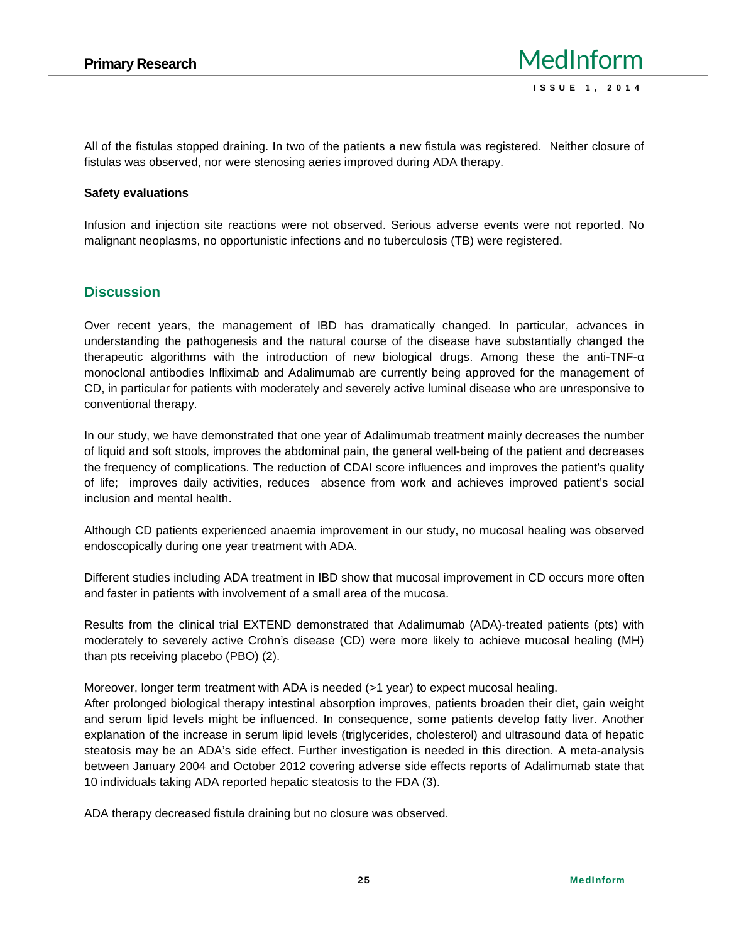All of the fistulas stopped draining. In two of the patients a new fistula was registered. Neither closure of fistulas was observed, nor were stenosing aeries improved during ADA therapy.

### **Safety evaluations**

Infusion and injection site reactions were not observed. Serious adverse events were not reported. No malignant neoplasms, no opportunistic infections and no tuberculosis (TB) were registered.

### **Discussion**

Over recent years, the management of IBD has dramatically changed. In particular, advances in understanding the pathogenesis and the natural course of the disease have substantially changed the therapeutic algorithms with the introduction of new biological drugs. Among these the anti-TNF monoclonal antibodies Infliximab and Adalimumab are currently being approved forthe management of CD, in particular for patients with moderately and severely active luminal disease who are unresponsive to conventional therapy.

In our study, we have demonstrated that one year of Adalimumab treatment mainly decreases the number of liquid and soft stools, improves the abdominal pain, the general well-being of the patient and decreases the frequency of complications. The reduction of CDAI score influences and improves the patient's quality of life; improves daily activities, reduces absence from work and achieves improved patient's social inclusion and mental health.

Although CD patients experienced anaemia improvement in our study, no mucosal healing was observed endoscopically during one year treatment with ADA.

Different studies including ADA treatment in IBD show that mucosal improvement in CD occurs more often and faster in patients with involvement of a small area of the mucosa.

Results from the clinical trial EXTEND demonstrated that Adalimumab (ADA)-treated patients (pts) with moderately to severely active Crohn's disease (CD) were more likely to achieve mucosal healing (MH) than pts receiving placebo (PBO) (2).

Moreover, longer term treatment with ADA is needed (>1 year) to expect mucosal healing.

After prolonged biological therapy intestinal absorption improves, patients broaden their diet, gain weight and serum lipid levels might be influenced. In consequence, some patients develop fatty liver. Another explanation of the increase in serum lipid levels (triglycerides, cholesterol) and ultrasound data of hepatic steatosis may be an ADA's side effect. Further investigation is needed in this direction. A meta-analysis between January 2004 and October 2012 covering adverse side effects reports of Adalimumab state that 10 individuals taking ADA reported hepatic steatosis to the FDA (3).

ADA therapy decreased fistula draining but no closure was observed.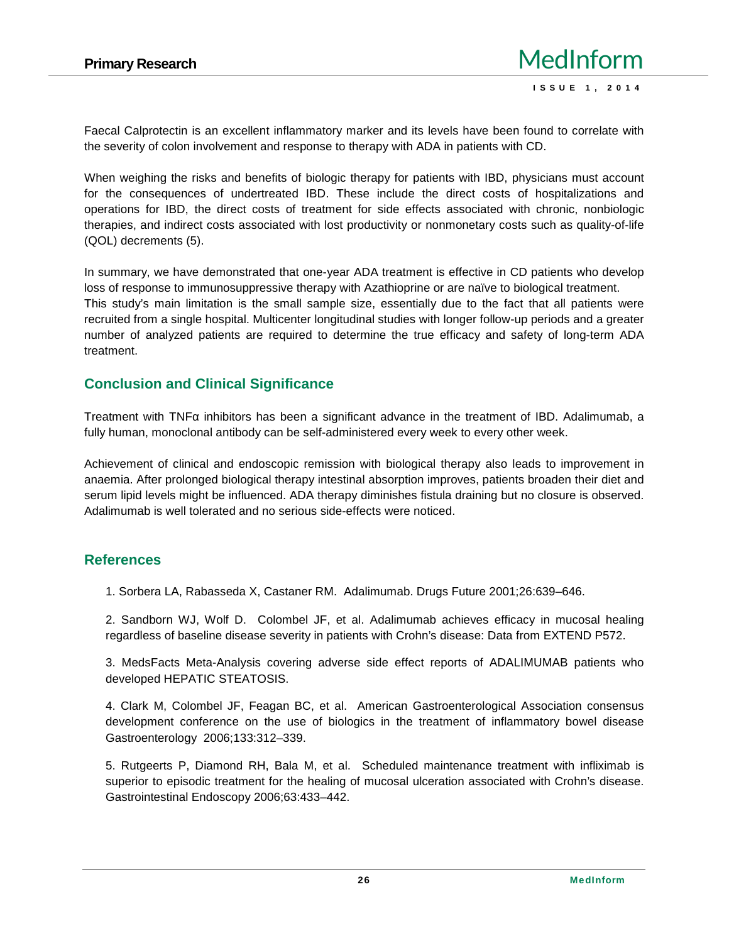Faecal Calprotectin is an excellent inflammatory marker and its levels have been found to correlate with the severity of colon involvement and response to therapy with ADA in patients with CD.

When weighing the risks and benefits of biologic therapy for patients with IBD, physicians must account for the consequences of undertreated IBD. These include the direct costs of hospitalizations and operations for IBD, the direct costs of treatment for side effects associated with chronic, nonbiologic therapies, and indirect costs associated with lost productivity or nonmonetary costs such as quality-of-life (QOL) decrements (5).

In summary, we have demonstrated that one-year ADA treatment is effective in CD patients who develop loss of response to immunosuppressive therapy with Azathioprine or are naïve to biological treatment. This study's main limitation is the small sample size, essentially due to the fact that all patients were recruited from a single hospital. Multicenter longitudinal studies with longer follow-up periods and a greater number of analyzed patients are required to determine the true efficacy and safety of long-term ADA treatment.

# **Conclusion and Clinical Significance**

Treatment with TNF inhibitors has been a significant advance in the treatment of IBD. Adalimumab, a fully human, monoclonal antibody can be self-administered every week to every other week.

Achievement of clinical and endoscopic remission with biological therapy also leads to improvement in anaemia. After prolonged biological therapy intestinal absorption improves, patients broaden their diet and serum lipid levels might be influenced. ADA therapy diminishes fistula draining but no closure is observed. Adalimumab is well tolerated and no serious side-effects were noticed.

# **References**

1. Sorbera LA, Rabasseda X, Castaner RM. Adalimumab. Drugs Future 2001;26:639–646.

2. Sandborn WJ, Wolf D. Colombel JF, et al. Adalimumab achieves efficacy in mucosal healing regardless of baseline disease severity in patients with Crohn's disease: Data from EXTEND P572.

3. MedsFacts Meta-Analysis covering adverse side effect reports of ADALIMUMAB patients who developed HEPATIC STEATOSIS.

4. Clark M, Colombel JF, Feagan BC, et al. American Gastroenterological Association consensus development conference on the use of biologics in the treatment of inflammatory bowel disease Gastroenterology 2006;133:312–339.

5. Rutgeerts P, Diamond RH, Bala M, et al. Scheduled maintenance treatment with infliximab is superior to episodic treatment for the healing of mucosal ulceration associated with Crohn's disease. Gastrointestinal Endoscopy 2006;63:433–442.